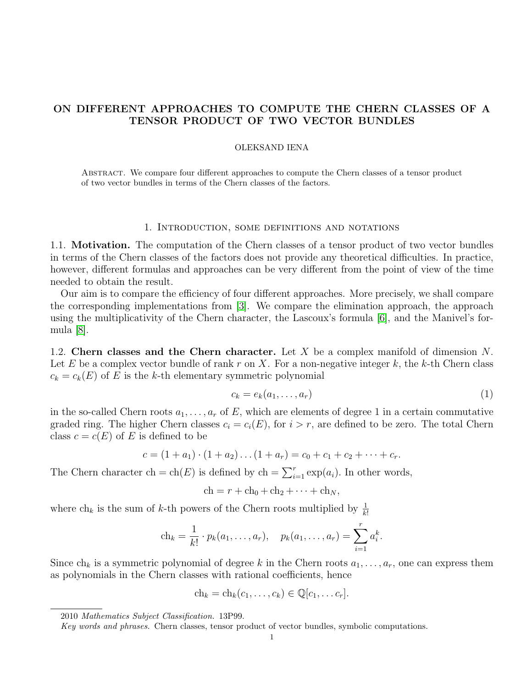# ON DIFFERENT APPROACHES TO COMPUTE THE CHERN CLASSES OF A TENSOR PRODUCT OF TWO VECTOR BUNDLES

### OLEKSAND IENA

Abstract. We compare four different approaches to compute the Chern classes of a tensor product of two vector bundles in terms of the Chern classes of the factors.

#### 1. Introduction, some definitions and notations

1.1. Motivation. The computation of the Chern classes of a tensor product of two vector bundles in terms of the Chern classes of the factors does not provide any theoretical difficulties. In practice, however, different formulas and approaches can be very different from the point of view of the time needed to obtain the result.

Our aim is to compare the efficiency of four different approaches. More precisely, we shall compare the corresponding implementations from [\[3\]](#page-3-0). We compare the elimination approach, the approach using the multiplicativity of the Chern character, the Lascoux's formula [\[6\]](#page-3-1), and the Manivel's formula [\[8\]](#page-3-2).

1.2. Chern classes and the Chern character. Let X be a complex manifold of dimension  $N$ . Let E be a complex vector bundle of rank r on X. For a non-negative integer k, the k-th Chern class  $c_k = c_k(E)$  of E is the k-th elementary symmetric polynomial

<span id="page-0-0"></span>
$$
c_k = e_k(a_1, \dots, a_r) \tag{1}
$$

in the so-called Chern roots  $a_1, \ldots, a_r$  of E, which are elements of degree 1 in a certain commutative graded ring. The higher Chern classes  $c_i = c_i(E)$ , for  $i > r$ , are defined to be zero. The total Chern class  $c = c(E)$  of E is defined to be

$$
c = (1 + a_1) \cdot (1 + a_2) \dots (1 + a_r) = c_0 + c_1 + c_2 + \dots + c_r.
$$

The Chern character ch = ch(E) is defined by ch =  $\sum_{i=1}^{r} \exp(a_i)$ . In other words,

$$
ch = r + ch_0 + ch_2 + \cdots + ch_N,
$$

where  $\ch_k$  is the sum of k-th powers of the Chern roots multiplied by  $\frac{1}{k!}$ 

$$
ch_k = \frac{1}{k!} \cdot p_k(a_1, \ldots, a_r), \quad p_k(a_1, \ldots, a_r) = \sum_{i=1}^r a_i^k.
$$

Since  $ch_k$  is a symmetric polynomial of degree k in the Chern roots  $a_1, \ldots, a_r$ , one can express them as polynomials in the Chern classes with rational coefficients, hence

$$
ch_k = ch_k(c_1, \ldots, c_k) \in \mathbb{Q}[c_1, \ldots c_r].
$$

<sup>2010</sup> Mathematics Subject Classification. 13P99.

Key words and phrases. Chern classes, tensor product of vector bundles, symbolic computations.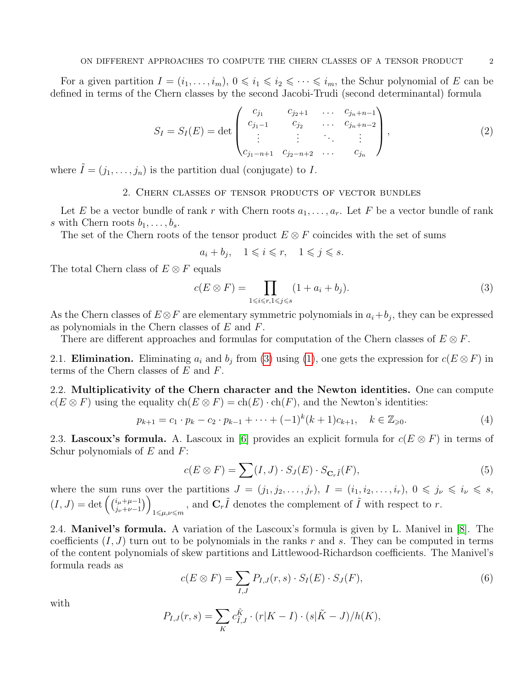For a given partition  $I = (i_1, \ldots, i_m)$ ,  $0 \leq i_1 \leq i_2 \leq \cdots \leq i_m$ , the Schur polynomial of E can be defined in terms of the Chern classes by the second Jacobi-Trudi (second determinantal) formula

$$
S_I = S_I(E) = \det \begin{pmatrix} c_{j_1} & c_{j_2+1} & \dots & c_{j_n+n-1} \\ c_{j_1-1} & c_{j_2} & \dots & c_{j_n+n-2} \\ \vdots & \vdots & \ddots & \vdots \\ c_{j_1-n+1} & c_{j_2-n+2} & \dots & c_{j_n} \end{pmatrix},
$$
 (2)

where  $\tilde{I} = (j_1, \ldots, j_n)$  is the partition dual (conjugate) to I.

## 2. Chern classes of tensor products of vector bundles

Let E be a vector bundle of rank r with Chern roots  $a_1, \ldots, a_r$ . Let F be a vector bundle of rank s with Chern roots  $b_1, \ldots, b_s$ .

The set of the Chern roots of the tensor product  $E \otimes F$  coincides with the set of sums

$$
a_i + b_j, \quad 1 \leqslant i \leqslant r, \quad 1 \leqslant j \leqslant s.
$$

The total Chern class of  $E \otimes F$  equals

<span id="page-1-0"></span>
$$
c(E \otimes F) = \prod_{1 \le i \le r, 1 \le j \le s} (1 + a_i + b_j). \tag{3}
$$

As the Chern classes of  $E \otimes F$  are elementary symmetric polynomials in  $a_i + b_j$ , they can be expressed as polynomials in the Chern classes of E and F.

There are different approaches and formulas for computation of the Chern classes of  $E \otimes F$ .

2.1. **Elimination.** Eliminating  $a_i$  and  $b_j$  from [\(3\)](#page-1-0) using [\(1\)](#page-0-0), one gets the expression for  $c(E \otimes F)$  in terms of the Chern classes of E and F.

2.2. Multiplicativity of the Chern character and the Newton identities. One can compute  $c(E \otimes F)$  using the equality  $ch(E \otimes F) = ch(E) \cdot ch(F)$ , and the Newton's identities:

$$
p_{k+1} = c_1 \cdot p_k - c_2 \cdot p_{k-1} + \dots + (-1)^k (k+1) c_{k+1}, \quad k \in \mathbb{Z}_{\geq 0}.
$$
 (4)

2.3. Lascoux's formula. A. Lascoux in [\[6\]](#page-3-1) provides an explicit formula for  $c(E \otimes F)$  in terms of Schur polynomials of  $E$  and  $F$ :

$$
c(E \otimes F) = \sum(I, J) \cdot S_J(E) \cdot S_{\mathbf{C}_r\tilde{I}}(F), \tag{5}
$$

where the sum runs over the partitions  $J = (j_1, j_2, \ldots, j_r)$ ,  $I = (i_1, i_2, \ldots, i_r)$ ,  $0 \leq j_\nu \leq i_\nu \leq s$ ,  $(I, J) = \det \left( \begin{array}{c} i_{\mu} + \mu - 1 \\ i_{\mu} + \mu - 1 \end{array} \right)$  $_{j_{\nu}+\nu-1}^{i_{\mu}+\mu-1})$  $\sum_{1 \leq \mu,\nu \leq m}$ , and  $\mathbf{C}_r \tilde{I}$  denotes the complement of  $\tilde{I}$  with respect to r.

2.4. Manivel's formula. A variation of the Lascoux's formula is given by L. Manivel in [\[8\]](#page-3-2). The coefficients  $(I, J)$  turn out to be polynomials in the ranks r and s. They can be computed in terms of the content polynomials of skew partitions and Littlewood-Richardson coefficients. The Manivel's formula reads as

$$
c(E \otimes F) = \sum_{I,J} P_{I,J}(r,s) \cdot S_I(E) \cdot S_J(F), \qquad (6)
$$

with

$$
P_{I,J}(r,s) = \sum_{K} c_{\tilde{I},J}^{\tilde{K}} \cdot (r|K - I) \cdot (s|\tilde{K} - J)/h(K),
$$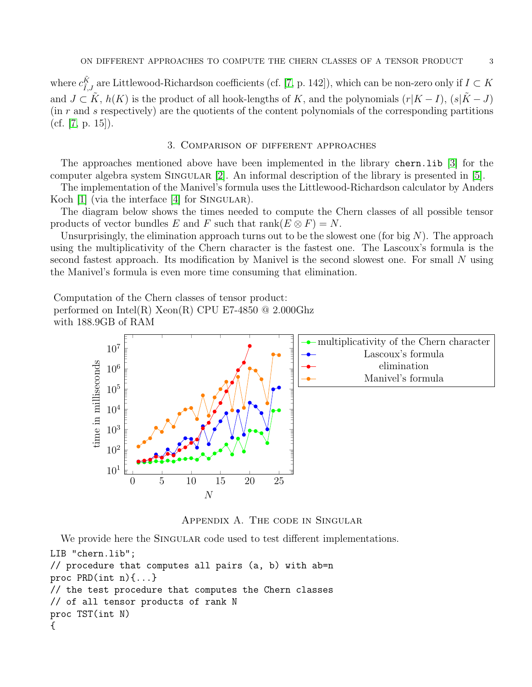where  $c_{\tilde{I},J}^{\tilde{K}}$  are Littlewood-Richardson coefficients (cf. [\[7,](#page-3-3) p. 142]), which can be non-zero only if  $I \subset K$ and  $J \subset \tilde{K}$ ,  $h(K)$  is the product of all hook-lengths of K, and the polynomials  $(r|K - I)$ ,  $(s|\tilde{K} - J)$  $(in r \text{ and } s \text{ respectively})$  are the quotients of the content polynomials of the corresponding partitions (cf. [\[7,](#page-3-3) p. 15]).

## 3. Comparison of different approaches

The approaches mentioned above have been implemented in the library chern.lib [\[3\]](#page-3-0) for the computer algebra system SINGULAR  $[2]$ . An informal description of the library is presented in  $[5]$ .

The implementation of the Manivel's formula uses the Littlewood-Richardson calculator by Anders Koch  $[1]$  (via the interface  $[4]$  for SINGULAR).

The diagram below shows the times needed to compute the Chern classes of all possible tensor products of vector bundles E and F such that  $rank(E \otimes F) = N$ .

Unsurprisingly, the elimination approach turns out to be the slowest one (for big  $N$ ). The approach using the multiplicativity of the Chern character is the fastest one. The Lascoux's formula is the second fastest approach. Its modification by Manivel is the second slowest one. For small N using the Manivel's formula is even more time consuming that elimination.

Computation of the Chern classes of tensor product: performed on Intel(R)  $Xeon(R)$  CPU E7-4850 @ 2.000Ghz with 188.9GB of RAM



Appendix A. The code in Singular

We provide here the SINGULAR code used to test different implementations. LIB "chern.lib"; // procedure that computes all pairs (a, b) with ab=n proc PRD(int n){...} // the test procedure that computes the Chern classes // of all tensor products of rank N proc TST(int N) {